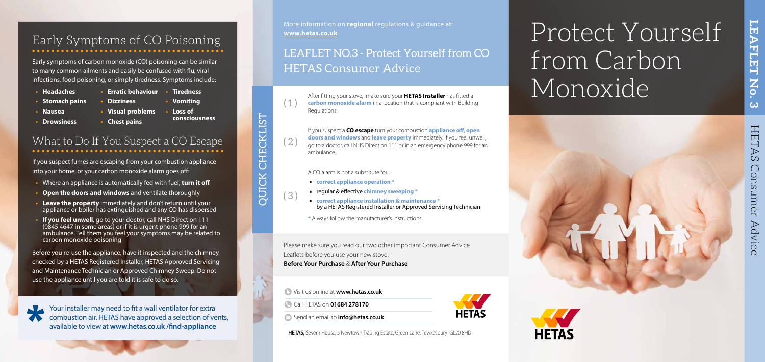## Protect Yourself from Carbon Monoxide

**LEAFLET No. 3**

No.

 $\omega$ 

**LEAFLET** 



### Early Symptoms of CO Poisoning

Early symptoms of carbon monoxide (CO) poisoning can be similar to many common ailments and easily be confused with flu, viral infections, food poisoning, or simply tiredness. Symptoms include:

- **• Stomach pains**
- **• Nausea**
- **• Visual problems • Loss of**
- **• Drowsiness**
- **• Chest pains**
- **• Headaches**
- **• Erratic behaviour • Tiredness**

**• Dizziness** 

**• Vomiting** 

**consciousness**

## What to Do If You Suspect a CO Escape

If you suspect fumes are escaping from your combustion appliance into your home, or your carbon monoxide alarm goes off:

- **•** Where an appliance is automatically fed with fuel, **turn it off**
- **• Open the doors and windows** and ventilate thoroughly
- **• Leave the property** immediately and don't return until your appliance or boiler has extinguished and any CO has dispersed
- **• If you feel unwell**, go to your doctor, call NHS Direct on 111 (0845 4647 in some areas) or if it is urgent phone 999 for an ambulance. Tell them you feel your symptoms may be related to carbon monoxide poisoning

Before you re-use the appliance, have it inspected and the chimney checked by a HETAS Registered Installer, HETAS Approved Servicing and Maintenance Technician or Approved Chimney Sweep. Do not use the appliance until you are told it is safe to do so.

# QUICK CHECKLIST CHECKLIST

Your installer may need to fit a wall ventilator for extra combustion air. HETAS have approved a selection of vents, available to view at **www.hetas.co.uk /find-appliance**

- Visit us online at **www.hetas.co.uk**
- Call HETAS on **01684 278170**

**HETAS** 



Send an email to **info@hetas.co.uk**

**HETAS,** Severn House, 5 Newtown Trading Estate, Green Lane, Tewkesbury GL20 8HD

Please make sure you read our two other important Consumer Advice Leaflets before you use your new stove: **Before Your Purchase** & **After Your Purchase**

After fitting your stove, make sure your **HETAS Installer** has fitted a **carbon monoxide alarm** in a location that is compliant with Building Regulations.

( 2 )

 $\left( 1 \right)$ 

If you suspect a **CO escape** turn your combustion **appliance off**, **open doors and windows** and **leave property** immediately. If you feel unwell, go to a doctor, call NHS Direct on 111 or in an emergency phone 999 for an ambulance.



OUICK

A CO alarm is not a substitute for:

- ∙ **correct appliance operation \***
- 
- ∙ regular & effective **chimney sweeping \*** ∙ **correct appliance installation & maintenance \***  by a HETAS Registered Installer or Approved Servicing Technician

**\*** Always follow the manufacturer's instructions.

## LEAFLET NO.3 - Protect Yourself from CO HETAS Consumer Advice

More information on **regional** regulations & guidance at: **www.hetas.co.uk**